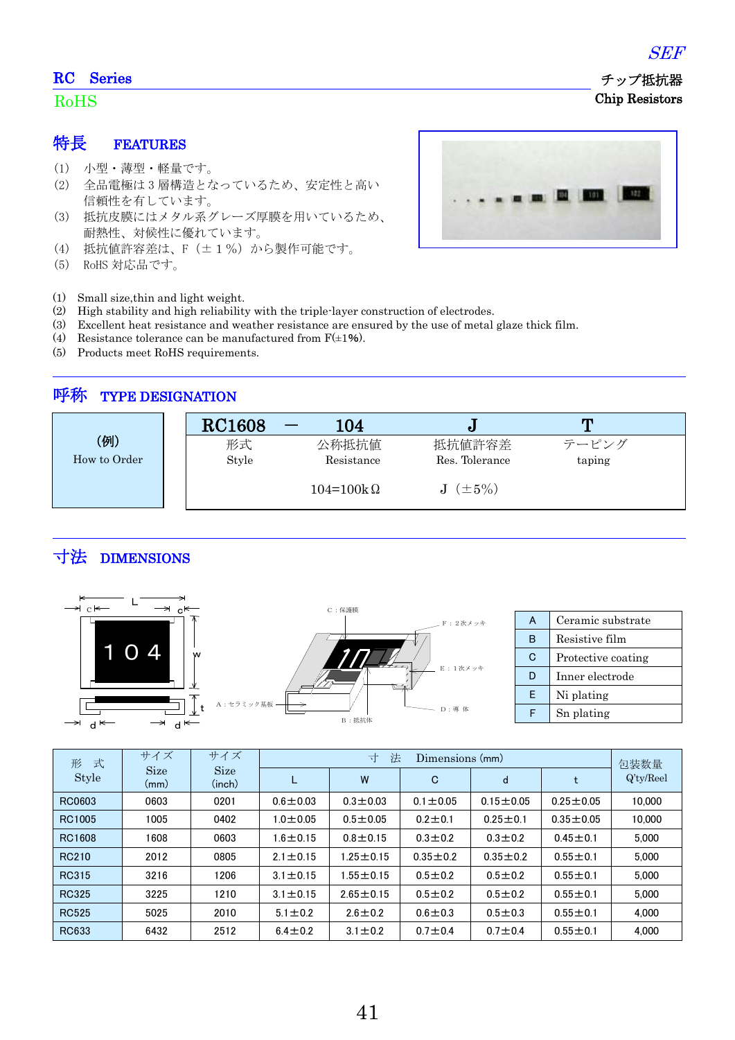### RC Series

#### RoHS

特長 FEATURES

- (1) 小型・薄型・軽量です。
- (2) 全品電極は 3 層構造となっているため、安定性と高い 信頼性を有しています。
- (3) 抵抗皮膜にはメタル系グレーズ厚膜を用いているため、 耐熱性、対候性に優れています。
- (4) 抵抗値許容差は、F(±1%)から製作可能です。
- (5) RoHS 対応品です。



- (1) Small size,thin and light weight.
- (2) High stability and high reliability with the triple-layer construction of electrodes.
- (3) Excellent heat resistance and weather resistance are ensured by the use of metal glaze thick film.
- (4) Resistance tolerance can be manufactured from  $F(\pm 1\%)$ .
- (5) Products meet RoHS requirements.

## 呼称 TYPE DESIGNATION

|              | <b>RC1608</b> | 104                |                 | т      |
|--------------|---------------|--------------------|-----------------|--------|
| (例)          | 形式            | 公称抵抗值              | 抵抗値許容差          | テーピング  |
| How to Order | Style         | Resistance         | Res. Tolerance  | taping |
|              |               | $104 = 100k\Omega$ | $J$ $(\pm 5\%)$ |        |

# 寸法 DIMENSIONS



| 式<br>形       | サイズ<br>サイズ          |                       |                | 法<br>寸<br>Dimensions (mm) |                |                |                 |                      |
|--------------|---------------------|-----------------------|----------------|---------------------------|----------------|----------------|-----------------|----------------------|
| <b>Style</b> | <b>Size</b><br>(mm) | <b>Size</b><br>(inch) |                | W                         | С              | d              | t               | 包装数量<br>$Q'$ ty/Reel |
| RC0603       | 0603                | 0201                  | $0.6 \pm 0.03$ | $0.3 \pm 0.03$            | $0.1 \pm 0.05$ | $0.15 + 0.05$  | $0.25 \pm 0.05$ | 10.000               |
| RC1005       | 1005                | 0402                  | $1.0 \pm 0.05$ | $0.5 \pm 0.05$            | $0.2 + 0.1$    | $0.25 \pm 0.1$ | $0.35 \pm 0.05$ | 10,000               |
| RC1608       | 1608                | 0603                  | $1.6 \pm 0.15$ | $0.8 + 0.15$              | $0.3 + 0.2$    | $0.3 + 0.2$    | $0.45 \pm 0.1$  | 5.000                |
| <b>RC210</b> | 2012                | 0805                  | $2.1 \pm 0.15$ | $1.25 \pm 0.15$           | $0.35 + 0.2$   | $0.35 + 0.2$   | $0.55 \pm 0.1$  | 5.000                |
| RC315        | 3216                | 1206                  | $3.1 \pm 0.15$ | 1.55 $\pm$ 0.15           | $0.5 + 0.2$    | $0.5 + 0.2$    | $0.55 \pm 0.1$  | 5.000                |
| <b>RC325</b> | 3225                | 1210                  | $3.1 \pm 0.15$ | $2.65 \pm 0.15$           | $0.5 + 0.2$    | $0.5 + 0.2$    | $0.55 \pm 0.1$  | 5.000                |
| <b>RC525</b> | 5025                | 2010                  | $5.1 \pm 0.2$  | $2.6 \pm 0.2$             | $0.6 \pm 0.3$  | $0.5 \pm 0.3$  | $0.55 \pm 0.1$  | 4.000                |
| RC633        | 6432                | 2512                  | $6.4 \pm 0.2$  | $3.1 \pm 0.2$             | $0.7 + 0.4$    | $0.7 + 0.4$    | $0.55 \pm 0.1$  | 4.000                |

SEF

 チップ抵抗器 Chip Resistors